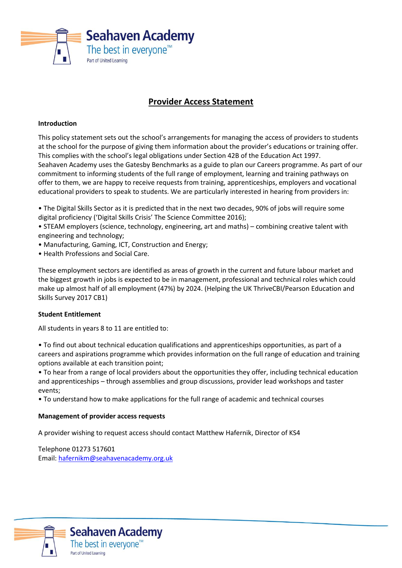

# **Provider Access Statement**

## **Introduction**

This policy statement sets out the school's arrangements for managing the access of providers to students at the school for the purpose of giving them information about the provider's educations or training offer. This complies with the school's legal obligations under Section 42B of the Education Act 1997. Seahaven Academy uses the Gatesby Benchmarks as a guide to plan our Careers programme. As part of our commitment to informing students of the full range of employment, learning and training pathways on offer to them, we are happy to receive requests from training, apprenticeships, employers and vocational educational providers to speak to students. We are particularly interested in hearing from providers in:

- The Digital Skills Sector as it is predicted that in the next two decades, 90% of jobs will require some digital proficiency ('Digital Skills Crisis' The Science Committee 2016);
- STEAM employers (science, technology, engineering, art and maths) combining creative talent with engineering and technology;
- Manufacturing, Gaming, ICT, Construction and Energy;
- Health Professions and Social Care.

These employment sectors are identified as areas of growth in the current and future labour market and the biggest growth in jobs is expected to be in management, professional and technical roles which could make up almost half of all employment (47%) by 2024. (Helping the UK ThriveCBI/Pearson Education and Skills Survey 2017 CB1)

# **Student Entitlement**

All students in years 8 to 11 are entitled to:

• To find out about technical education qualifications and apprenticeships opportunities, as part of a careers and aspirations programme which provides information on the full range of education and training options available at each transition point;

• To hear from a range of local providers about the opportunities they offer, including technical education and apprenticeships – through assemblies and group discussions, provider lead workshops and taster events;

• To understand how to make applications for the full range of academic and technical courses

#### **Management of provider access requests**

A provider wishing to request access should contact Matthew Hafernik, Director of KS4

Telephone 01273 517601 Email: [hafernikm@seahavenacademy.org.uk](mailto:hafernikm@seahavenacademy.org.uk)

**Seahaven Academy** 

The best in everyone<sup>™</sup>

Part of United Learning